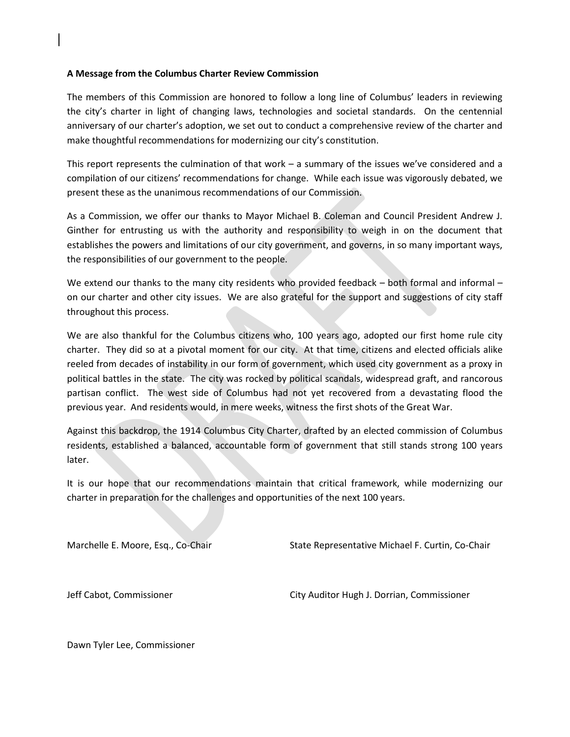## **A Message from the Columbus Charter Review Commission**

The members of this Commission are honored to follow a long line of Columbus' leaders in reviewing the city's charter in light of changing laws, technologies and societal standards. On the centennial anniversary of our charter's adoption, we set out to conduct a comprehensive review of the charter and make thoughtful recommendations for modernizing our city's constitution.

This report represents the culmination of that work – a summary of the issues we've considered and a compilation of our citizens' recommendations for change. While each issue was vigorously debated, we present these as the unanimous recommendations of our Commission.

As a Commission, we offer our thanks to Mayor Michael B. Coleman and Council President Andrew J. Ginther for entrusting us with the authority and responsibility to weigh in on the document that establishes the powers and limitations of our city government, and governs, in so many important ways, the responsibilities of our government to the people.

We extend our thanks to the many city residents who provided feedback – both formal and informal – on our charter and other city issues. We are also grateful for the support and suggestions of city staff throughout this process.

We are also thankful for the Columbus citizens who, 100 years ago, adopted our first home rule city charter. They did so at a pivotal moment for our city. At that time, citizens and elected officials alike reeled from decades of instability in our form of government, which used city government as a proxy in political battles in the state. The city was rocked by political scandals, widespread graft, and rancorous partisan conflict. The west side of Columbus had not yet recovered from a devastating flood the previous year. And residents would, in mere weeks, witness the first shots of the Great War.

Against this backdrop, the 1914 Columbus City Charter, drafted by an elected commission of Columbus residents, established a balanced, accountable form of government that still stands strong 100 years later.

It is our hope that our recommendations maintain that critical framework, while modernizing our charter in preparation for the challenges and opportunities of the next 100 years.

Marchelle E. Moore, Esq., Co-Chair State Representative Michael F. Curtin, Co-Chair

Jeff Cabot, Commissioner City Auditor Hugh J. Dorrian, Commissioner

Dawn Tyler Lee, Commissioner